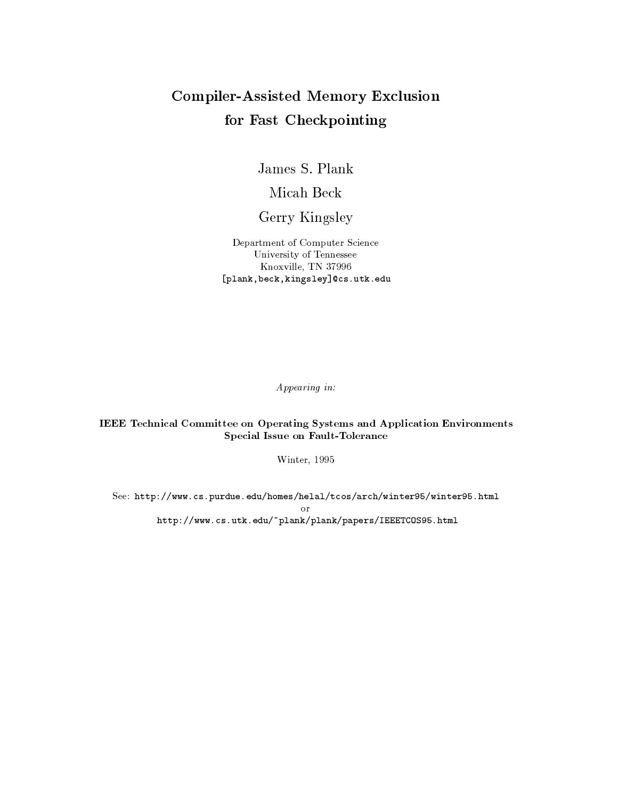# **Compiler-Assisted Memory Exclusion** for Fast Checkpointing

James S. Plank

Micah Beck

Gerry Kingsley

Department of Computer Science University of Tennessee Knoxville, TN 37996 [plank, beck, kingsley] @cs.utk.edu

Appearing in:

**IEEE** Technical Committee on Operating Systems and Application Environments Special Issue on Fault-Tolerance

Winter, 1995

See: http://www.cs.purdue.edu/homes/helal/tcos/arch/winter95/winter95.html  $\Omega$ <sup>r</sup> http://www.cs.utk.edu/~plank/plank/papers/IEEETCOS95.html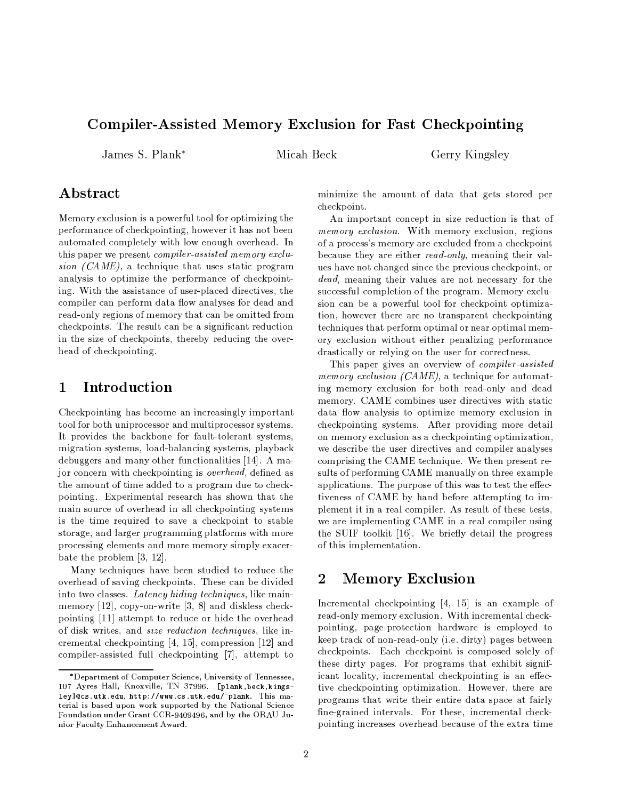# Compiler-Assisted Memory Exclusion for Fast Checkpointing

James S. Plank\*

Micah Beck

Gerry Kingsley

# Abstract

Memory exclusion is a powerful tool for optimizing the performance of checkpointing, however it has not been automated completely with low enough overhead. In this paper we present *compiler-assisted memory exclu*sion  $(CAME)$ , a technique that uses static program analysis to optimize the performance of checkpointing. With the assistance of user-placed directives, the compiler can perform data flow analyses for dead and read-only regions of memory that can be omitted from checkpoints. The result can be a significant reduction in the size of checkpoints, thereby reducing the overhead of checkpointing.

### $\mathbf 1$ Introduction

Checkpointing has become an increasingly important tool for both uniprocessor and multiprocessor systems. It provides the backbone for fault-tolerant systems, migration systems, load-balancing systems, playback debuggers and many other functionalities [14]. A major concern with checkpointing is overhead, defined as the amount of time added to a program due to checkpointing. Experimental research has shown that the main source of overhead in all checkpointing systems is the time required to save a checkpoint to stable storage, and larger programming platforms with more processing elements and more memory simply exacerbate the problem  $[3, 12]$ .

Many techniques have been studied to reduce the overhead of saving checkpoints. These can be divided into two classes. Latency hiding techniques, like mainmemory [12], copy-on-write [3, 8] and diskless checkpointing [11] attempt to reduce or hide the overhead of disk writes, and *size reduction techniques*, like incremental checkpointing [4, 15], compression [12] and compiler-assisted full checkpointing [7], attempt to minimize the amount of data that gets stored per checkpoint.

An important concept in size reduction is that of *memory exclusion.* With memory exclusion, regions of a process's memory are excluded from a checkpoint because they are either read-only, meaning their values have not changed since the previous checkpoint, or *dead*, meaning their values are not necessary for the successful completion of the program. Memory exclusion can be a powerful tool for checkpoint optimization, however there are no transparent checkpointing techniques that perform optimal or near optimal memory exclusion without either penalizing performance drastically or relying on the user for correctness.

This paper gives an overview of *compiler* assisted *memory exclusion (CAME)*, a technique for automating memory exclusion for both read-only and dead memory. CAME combines user directives with static data flow analysis to optimize memory exclusion in checkpointing systems. After providing more detail on memory exclusion as a checkpointing optimization, we describe the user directives and compiler analyses comprising the CAME technique. We then present results of performing CAME manually on three example applications. The purpose of this was to test the effectiveness of CAME by hand before attempting to implement it in a real compiler. As result of these tests, we are implementing CAME in a real compiler using the SUIF toolkit [16]. We briefly detail the progress of this implementation.

### $\overline{2}$ **Memory Exclusion**

Incremental checkpointing  $[4, 15]$  is an example of read-only memory exclusion. With incremental checkpointing, page-protection hardware is employed to keep track of non-read-only (i.e. dirty) pages between checkpoints. Each checkpoint is composed solely of these dirty pages. For programs that exhibit significant locality, incremental checkpointing is an effective checkpointing optimization. However, there are programs that write their entire data space at fairly fine-grained intervals. For these, incremental checkpointing increases overhead because of the extra time

<sup>\*</sup>Department of Computer Science, University of Tennessee, 107 Ayres Hall, Knoxville, TN 37996. [plank, beck, kingsley]@cs.utk.edu, http://www.cs.utk.edu/~plank. This material is based upon work supported by the National Science Foundation under Grant CCR-9409496, and by the ORAU Junior Faculty Enhancement Award.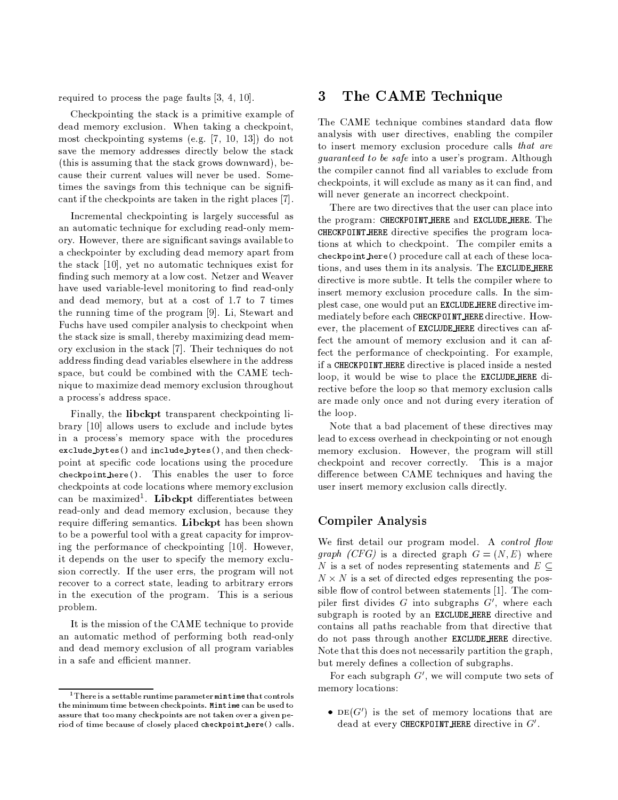required to process the page faults  $[3, 4, 10]$ .

Checkpointing the stack is a primitive example of dead memory exclusion. When taking a checkpoint, most checkpointing systems (e.g.  $[7, 10, 13]$ ) do not save the memory addresses directly below the stack (this is assuming that the stack grows downward), because their current values will never be used. Sometimes the savings from this technique can be significant if the checkpoints are taken in the right places [7].

Incremental checkpointing is largely successful as an automatic technique for excluding read-only memory. However, there are significant savings available to a checkpointer by excluding dead memory apart from the stack [10], yet no automatic techniques exist for finding such memory at a low cost. Netzer and Weaver have used variable-level monitoring to find read-only and dead memory, but at a cost of 1.7 to 7 times the running time of the program [9]. Li, Stewart and Fuchs have used compiler analysis to checkpoint when the stack size is small, thereby maximizing dead memory exclusion in the stack [7]. Their techniques do not address finding dead variables elsewhere in the address space, but could be combined with the CAME technique to maximize dead memory exclusion throughout a process's address space.

Finally, the libckpt transparent checkpointing library [10] allows users to exclude and include bytes in a process's memory space with the procedures exclude bytes () and include bytes (), and then checkpoint at specific code locations using the procedure checkpoint here (). This enables the user to force checkpoints at code locations where memory exclusion can be maximized<sup>1</sup>. Libckpt differentiates between read-only and dead memory exclusion, because they require differing semantics. Libckpt has been shown to be a powerful tool with a great capacity for improving the performance of checkpointing [10]. However, it depends on the user to specify the memory exclusion correctly. If the user errs, the program will not recover to a correct state, leading to arbitrary errors in the execution of the program. This is a serious problem.

It is the mission of the CAME technique to provide an automatic method of performing both read-only and dead memory exclusion of all program variables in a safe and efficient manner.

### The CAME Technique 3

The CAME technique combines standard data flow analysis with user directives, enabling the compiler to insert memory exclusion procedure calls that are *guaranteed to be safe* into a user's program. Although the compiler cannot find all variables to exclude from checkpoints, it will exclude as many as it can find, and will never generate an incorrect checkpoint.

There are two directives that the user can place into the program: CHECKPOINT\_HERE and EXCLUDE\_HERE. The CHECKPOINT\_HERE directive specifies the program locations at which to checkpoint. The compiler emits a checkpoint here () procedure call at each of these locations, and uses them in its analysis. The EXCLUDE HERE directive is more subtle. It tells the compiler where to insert memory exclusion procedure calls. In the simplest case, one would put an EXCLUDE HERE directive immediately before each CHECKPOINT HERE directive. However, the placement of EXCLUDE HERE directives can affect the amount of memory exclusion and it can affect the performance of checkpointing. For example, if a CHECKPOINT HERE directive is placed inside a nested loop, it would be wise to place the EXCLUDE HERE directive before the loop so that memory exclusion calls are made only once and not during every iteration of the loop.

Note that a bad placement of these directives may lead to excess overhead in checkpointing or not enough memory exclusion. However, the program will still checkpoint and recover correctly. This is a major difference between CAME techniques and having the user insert memory exclusion calls directly.

### **Compiler Analysis**

We first detail our program model. A control flow graph (CFG) is a directed graph  $G = (N, E)$  where N is a set of nodes representing statements and  $E \subseteq$  $N \times N$  is a set of directed edges representing the possible flow of control between statements [1]. The compiler first divides  $G$  into subgraphs  $G'$ , where each subgraph is rooted by an EXCLUDE\_HERE directive and contains all paths reachable from that directive that do not pass through another EXCLUDE HERE directive. Note that this does not necessarily partition the graph, but merely defines a collection of subgraphs.

For each subgraph  $G'$ , we will compute two sets of memory locations:

•  $DE(G')$  is the set of memory locations that are dead at every CHECKPOINT HERE directive in  $G'$ .

<sup>&</sup>lt;sup>1</sup> There is a settable runtime parameter  $mintime$  that controls the minimum time between checkpoints. Mintime can be used to assure that too many checkpoints are not taken over a given period of time because of closely placed checkpoint here () calls.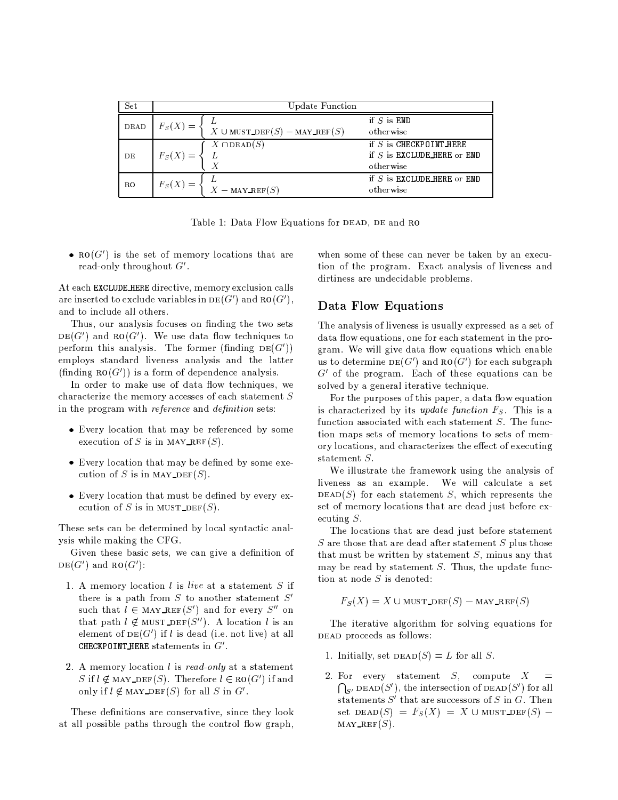| Set  | <b>Update Function</b>                          |                                                                         |  |  |  |
|------|-------------------------------------------------|-------------------------------------------------------------------------|--|--|--|
| DEAD | $F_S(X) =$<br>X $\cup$ MUST_DEF(S) – MAY_REF(S) | if $S$ is $END$<br>otherwise                                            |  |  |  |
| DE   | $X \cap \text{DEAD}(S)$<br>$F_S(X) =$           | if $S$ is CHECKPOINT HERE<br>if $S$ is EXCLUDE HERE or END<br>otherwise |  |  |  |
| RO   | $F_S(X)$<br>$X -$ MAY_REF $(S)$                 | if $S$ is EXCLUDE HERE or END<br>otherwise                              |  |  |  |

Table 1: Data Flow Equations for DEAD, DE and RO

•  $\mathbf{RO}(G')$  is the set of memory locations that are read-only throughout  $G'$ .

At each EXCLUDE HERE directive, memory exclusion calls are inserted to exclude variables in  $DE(G')$  and  $RO(G')$ , and to include all others.

Thus, our analysis focuses on finding the two sets  $DE(G')$  and  $RO(G')$ . We use data flow techniques to perform this analysis. The former (finding  $DE(G')$ ) employs standard liveness analysis and the latter  $(\text{finding } \text{RO}(G'))$  is a form of dependence analysis.

In order to make use of data flow techniques, we characterize the memory accesses of each statement  $S$ in the program with *reference* and *definition* sets:

- Every location that may be referenced by some execution of S is in MAY REF(S).
- Every location that may be defined by some execution of S is in MAY DEF(S).
- Every location that must be defined by every execution of S is in MUST\_DEF(S).

These sets can be determined by local syntactic analysis while making the CFG.

Given these basic sets, we can give a definition of  $DE(G')$  and  $RO(G')$ :

- 1. A memory location l is live at a statement S if there is a path from  $S$  to another statement  $S'$ such that  $l \in$  MAY\_REF(S') and for every S'' on that path  $l \notin \text{MUST\_DEF}(S'')$ . A location l is an element of  $DE(G')$  if l is dead (i.e. not live) at all CHECKPOINT HERE statements in  $G'$ .
- 2. A memory location  $l$  is read-only at a statement S if  $l \notin$  MAY DEF(S). Therefore  $l \in \text{RO}(G')$  if and only if  $l \notin$  MAY\_DEF(S) for all S in G'.

These definitions are conservative, since they look at all possible paths through the control flow graph, when some of these can never be taken by an execution of the program. Exact analysis of liveness and dirtiness are undecidable problems.

# Data Flow Equations

The analysis of liveness is usually expressed as a set of data flow equations, one for each statement in the program. We will give data flow equations which enable us to determine  $DE(G')$  and  $RO(G')$  for each subgraph  $G'$  of the program. Each of these equations can be solved by a general iterative technique.

For the purposes of this paper, a data flow equation is characterized by its *update function*  $F_S$ . This is a function associated with each statement  $S$ . The function maps sets of memory locations to sets of memory locations, and characterizes the effect of executing statement  $S$ .

We illustrate the framework using the analysis of liveness as an example. We will calculate a set DEAD(S) for each statement S, which represents the set of memory locations that are dead just before executing  $S$ .

The locations that are dead just before statement  $S$  are those that are dead after statement  $S$  plus those that must be written by statement  $S$ , minus any that may be read by statement  $S$ . Thus, the update function at node  $S$  is denoted:

 $F_S(X) = X \cup$ MUST\_DEF(S) – MAY\_REF(S)

The iterative algorithm for solving equations for DEAD proceeds as follows:

- 1. Initially, set  $\text{DEAD}(S) = L$  for all S.
- 2. For every statement  $S$ , compute  $X =$  $\bigcap_{S'}$  DEAD(S'), the intersection of DEAD(S') for all statements  $S'$  that are successors of  $S$  in  $G$ . Then set  $DEAD(S) = F_S(X) = X \cup MUST\_DEF(S)$  $\text{MAY\_REF}(S)$ .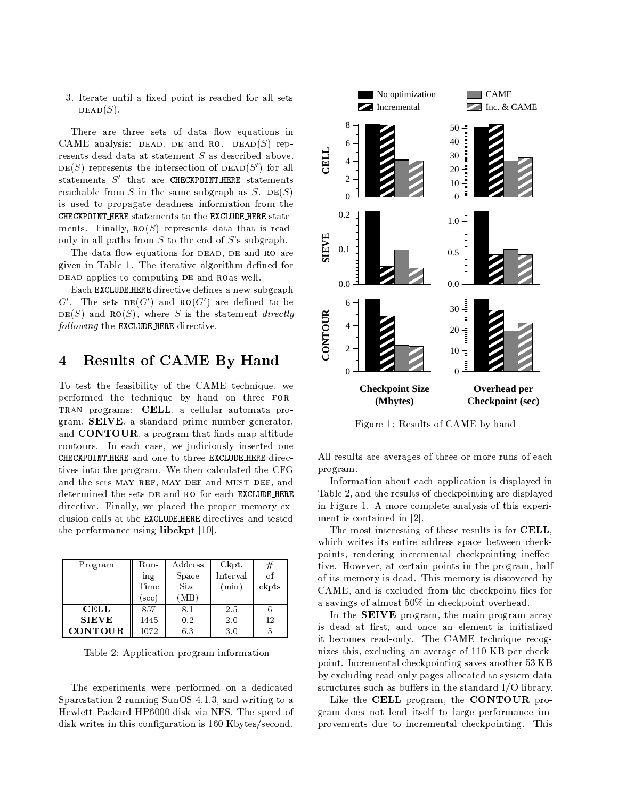3. Iterate until a fixed point is reached for all sets  $DEAD(S)$ .

There are three sets of data flow equations in CAME analysis: DEAD, DE and RO. DEAD(S) represents dead data at statement  $S$  as described above.  $DE(S)$  represents the intersection of  $DEAD(S')$  for all statements  $S'$  that are CHECKPOINT HERE statements reachable from S in the same subgraph as S. DE(S) is used to propagate deadness information from the CHECKPOINT HERE statements to the EXCLUDE HERE statements. Finally,  $\text{RO}(S)$  represents data that is readonly in all paths from  $S$  to the end of  $S$ 's subgraph.

The data flow equations for DEAD, DE and RO are given in Table 1. The iterative algorithm defined for DEAD applies to computing DE and ROAS well.

Each EXCLUDE HERE directive defines a new subgraph  $G'$ . The sets  $DE(G')$  and  $RO(G')$  are defined to be  $DE(S)$  and  $RO(S)$ , where S is the statement *directly* following the EXCLUDE HERE directive.

### **Results of CAME By Hand**  $\boldsymbol{4}$

To test the feasibility of the CAME technique, we performed the technique by hand on three FOR-TRAN programs: CELL, a cellular automata program, SEIVE, a standard prime number generator, and **CONTOUR**, a program that finds map altitude contours. In each case, we judiciously inserted one CHECKPOINT HERE and one to three EXCLUDE HERE directives into the program. We then calculated the CFG and the sets MAY\_REF, MAY\_DEF and MUST\_DEF, and determined the sets DE and RO for each EXCLUDE\_HERE directive. Finally, we placed the proper memory exclusion calls at the EXCLUDE HERE directives and tested the performance using  $\mathbf{libckpt}\ [10]$ .

| Program        | Run- | A ddress | Ckpt.    | #     |
|----------------|------|----------|----------|-------|
|                | ing  | Space    | Interval | of    |
|                | Time | Size     | (min)    | ckpts |
|                | sec) | 'MΒ      |          |       |
| <b>CELL</b>    | 857  | 8.1      | 2.5      |       |
| <b>SIEVE</b>   | 1445 | 0.2      | 2.0      | 12    |
| <b>CONTOUR</b> | 1072 | 6.3      | 3.0      | 5     |

Table 2: Application program information

The experiments were performed on a dedicated Sparcstation 2 running SunOS 4.1.3, and writing to a Hewlett Packard HP6000 disk via NFS. The speed of disk writes in this configuration is 160 K bytes/second.



Figure 1: Results of CAME by hand

All results are averages of three or more runs of each program.

Information about each application is displayed in Table 2, and the results of checkpointing are displayed in Figure 1. A more complete analysis of this experiment is contained in  $[2]$ .

The most interesting of these results is for CELL, which writes its entire address space between checkpoints, rendering incremental checkpointing ineffective. However, at certain points in the program, half of its memory is dead. This memory is discovered by CAME, and is excluded from the checkpoint files for a savings of almost 50% in checkpoint overhead.

In the SEIVE program, the main program array is dead at first, and once an element is initialized it becomes read-only. The CAME technique recognizes this, excluding an average of 110 KB per checkpoint. Incremental checkpointing saves another 53 KB by excluding read-only pages allocated to system data structures such as buffers in the standard I/O library.

Like the CELL program, the CONTOUR program does not lend itself to large performance improvements due to incremental checkpointing. This